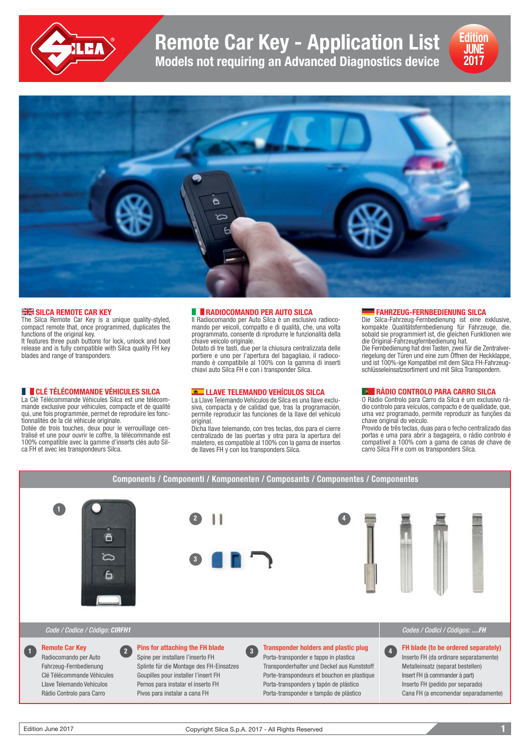

**Remote Car Key - Application List**

**Models not requiring an Advanced Diagnostics device**





#### **SILCA REMOTE CAR KEY**

The Silca Remote Car Key is a unique quality-styled, compact remote that, once programmed, duplicates the functions of the original key.

It features three push buttons for lock, unlock and boot release and is fully compatible with Silca quality FH key blades and range of transponders.

## **CLÉ TÉLÉCOMMANDE VÉHICULES SILCA**

La Clé Télécommande Véhicules Silca est une télécommande exclusive pour véhicules, compacte et de qualité qui, une fois programmée, permet de reproduire les fonctionnalités de la clé véhicule originale.

Dotée de trois touches, deux pour le verrouillage centralisé et une pour ouvrir le coffre, la télécommande est 100% compatible avec la gamme d'inserts clés auto Silca FH et avec les transpondeurs Silca.

#### **RADIOCOMANDO PER AUTO SILCA**

Il Radiocomando per Auto Silca è un esclusivo radiocomando per veicoli, compatto e di qualità, che, una volta programmato, consente di riprodurre le funzionalità della chiave veicolo originale.

Dotato di tre tasti, due per la chiusura centralizzata delle portiere e uno per l'apertura del bagagliaio, il radiocomando è compatibile al 100% con la gamma di inserti chiavi auto Silca FH e con i transponder Silca.

#### **LLAVE TELEMANDO VEHÍCULOS SILCA**

La Llave Telemando Vehículos de Silca es una llave exclusiva, compacta y de calidad que, tras la programación, permite reproducir las funciones de la llave del vehículo original.

Dicha llave telemando, con tres teclas, dos para el cierre centralizado de las puertas y otra para la apertura del maletero, es compatible al 100% con la gama de insertos de llaves FH y con los transponders Silca.

### **FAHRZEUG-FERNBEDIENUNG SILCA**

Die Silca-Fahrzeug-Fernbedienung ist eine exklusive, kompakte Qualitätsfernbedienung für Fahrzeuge, die, sobald sie programmiert ist, die gleichen Funktionen wie die Original-Fahrzeugfernbedienung hat. Die Fernbedienung hat drei Tasten, zwei für die Zentralverriegelung der Türen und eine zum Öffnen der Heckklappe, und ist 100%-ige Kompatibel mit dem Silca FH-Fahrzeugschlüsseleinsatzsortiment und mit Silca Transpondern.

# **RÁDIO CONTROLO PARA CARRO SILCA**

O Rádio Controlo para Carro da Silca é um exclusivo rádio controlo para veículos, compacto e de qualidade, que, uma vez programado, permite reproduzir as funções da chave original do veículo.

Provido de três teclas, duas para o fecho centralizado das portas e uma para abrir a bagageira, o rádio controlo é compatível a 100% com a gama de canas de chave de carro Silca FH e com os transponders Silca.